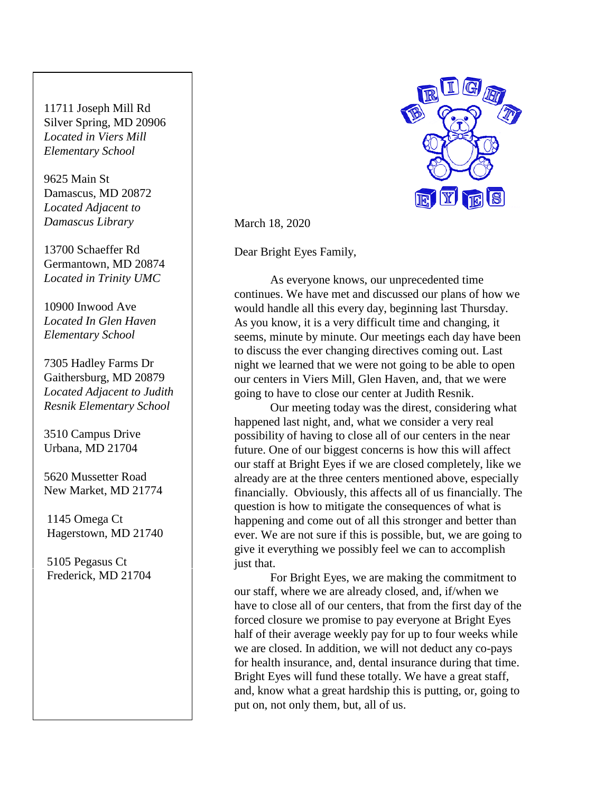11711 Joseph Mill Rd Silver Spring, MD 20906 *Located in Viers Mill Elementary School*

9625 Main St Damascus, MD 20872 *Located Adjacent to Damascus Library*

13700 Schaeffer Rd Germantown, MD 20874 *Located in Trinity UMC*

*Located In Glen Haven Elementary School*

7305 Hadley Farms Dr Gaithersburg, MD 20879 *Located Adjacent to Judith Resnik Elementary School*

3510 Campus Drive Urbana, MD 21704

5620 Mussetter Road New Market, MD 21774

 1145 Omega Ct Hagerstown, MD 21740

 5105 Pegasus Ct Frederick, MD 21704



March 18, 2020

Dear Bright Eyes Family,

10900 Inwood Ave  $\parallel$  would handle all this every day, beginning last Thursday. As everyone knows, our unprecedented time continues. We have met and discussed our plans of how we As you know, it is a very difficult time and changing, it seems, minute by minute. Our meetings each day have been to discuss the ever changing directives coming out. Last night we learned that we were not going to be able to open our centers in Viers Mill, Glen Haven, and, that we were going to have to close our center at Judith Resnik.

> Our meeting today was the direst, considering what happened last night, and, what we consider a very real possibility of having to close all of our centers in the near future. One of our biggest concerns is how this will affect our staff at Bright Eyes if we are closed completely, like we already are at the three centers mentioned above, especially financially. Obviously, this affects all of us financially. The question is how to mitigate the consequences of what is happening and come out of all this stronger and better than ever. We are not sure if this is possible, but, we are going to give it everything we possibly feel we can to accomplish just that.

> For Bright Eyes, we are making the commitment to our staff, where we are already closed, and, if/when we have to close all of our centers, that from the first day of the forced closure we promise to pay everyone at Bright Eyes half of their average weekly pay for up to four weeks while we are closed. In addition, we will not deduct any co-pays for health insurance, and, dental insurance during that time. Bright Eyes will fund these totally. We have a great staff, and, know what a great hardship this is putting, or, going to put on, not only them, but, all of us.